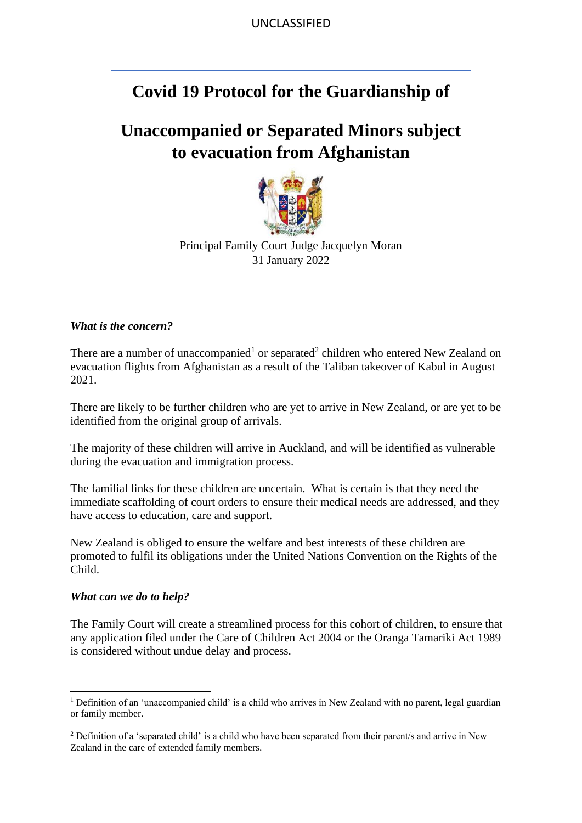UNCLASSIFIED

## **Covid 19 Protocol for the Guardianship of**

# **Unaccompanied or Separated Minors subject to evacuation from Afghanistan**



Principal Family Court Judge Jacquelyn Moran 31 January 2022

#### *What is the concern?*

There are a number of unaccompanied<sup>1</sup> or separated<sup>2</sup> children who entered New Zealand on evacuation flights from Afghanistan as a result of the Taliban takeover of Kabul in August 2021.

There are likely to be further children who are yet to arrive in New Zealand, or are yet to be identified from the original group of arrivals.

The majority of these children will arrive in Auckland, and will be identified as vulnerable during the evacuation and immigration process.

The familial links for these children are uncertain. What is certain is that they need the immediate scaffolding of court orders to ensure their medical needs are addressed, and they have access to education, care and support.

New Zealand is obliged to ensure the welfare and best interests of these children are promoted to fulfil its obligations under the United Nations Convention on the Rights of the Child.

#### *What can we do to help?*

The Family Court will create a streamlined process for this cohort of children, to ensure that any application filed under the Care of Children Act 2004 or the Oranga Tamariki Act 1989 is considered without undue delay and process.

<sup>1</sup> Definition of an 'unaccompanied child' is a child who arrives in New Zealand with no parent, legal guardian or family member.

<sup>2</sup> Definition of a 'separated child' is a child who have been separated from their parent/s and arrive in New Zealand in the care of extended family members.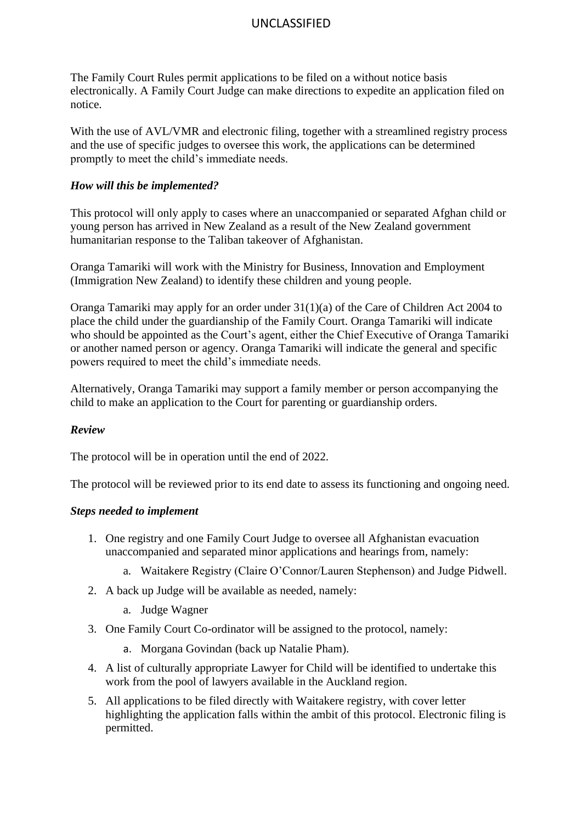## UNCLASSIFIED

The Family Court Rules permit applications to be filed on a without notice basis electronically. A Family Court Judge can make directions to expedite an application filed on notice.

With the use of AVL/VMR and electronic filing, together with a streamlined registry process and the use of specific judges to oversee this work, the applications can be determined promptly to meet the child's immediate needs.

### *How will this be implemented?*

This protocol will only apply to cases where an unaccompanied or separated Afghan child or young person has arrived in New Zealand as a result of the New Zealand government humanitarian response to the Taliban takeover of Afghanistan.

Oranga Tamariki will work with the Ministry for Business, Innovation and Employment (Immigration New Zealand) to identify these children and young people.

Oranga Tamariki may apply for an order under 31(1)(a) of the Care of Children Act 2004 to place the child under the guardianship of the Family Court. Oranga Tamariki will indicate who should be appointed as the Court's agent, either the Chief Executive of Oranga Tamariki or another named person or agency. Oranga Tamariki will indicate the general and specific powers required to meet the child's immediate needs.

Alternatively, Oranga Tamariki may support a family member or person accompanying the child to make an application to the Court for parenting or guardianship orders.

## *Review*

The protocol will be in operation until the end of 2022.

The protocol will be reviewed prior to its end date to assess its functioning and ongoing need.

## *Steps needed to implement*

- 1. One registry and one Family Court Judge to oversee all Afghanistan evacuation unaccompanied and separated minor applications and hearings from, namely:
	- a. Waitakere Registry (Claire O'Connor/Lauren Stephenson) and Judge Pidwell.
- 2. A back up Judge will be available as needed, namely:
	- a. Judge Wagner
- 3. One Family Court Co-ordinator will be assigned to the protocol, namely:
	- a. Morgana Govindan (back up Natalie Pham).
- 4. A list of culturally appropriate Lawyer for Child will be identified to undertake this work from the pool of lawyers available in the Auckland region.
- 5. All applications to be filed directly with Waitakere registry, with cover letter highlighting the application falls within the ambit of this protocol. Electronic filing is permitted.